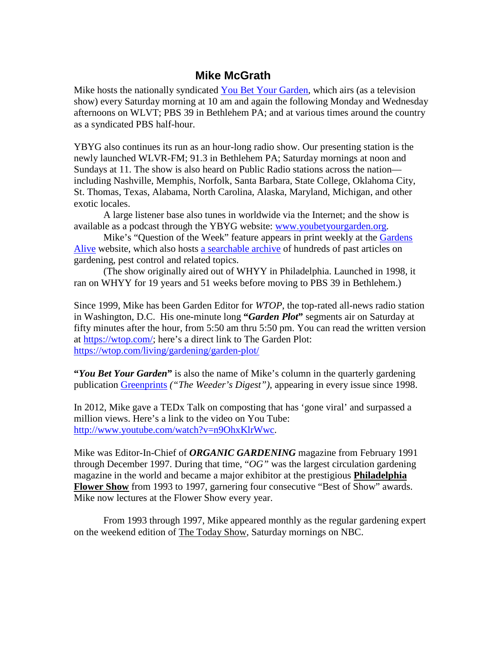## **Mike McGrath**

Mike hosts the nationally syndicated [You Bet Your Garden,](https://www.wlvt.org/television/you-bet-your-garden/) which airs (as a television show) every Saturday morning at 10 am and again the following Monday and Wednesday afternoons on WLVT; PBS 39 in Bethlehem PA; and at various times around the country as a syndicated PBS half-hour.

YBYG also continues its run as an hour-long radio show. Our presenting station is the newly launched WLVR-FM; 91.3 in Bethlehem PA; Saturday mornings at noon and Sundays at 11. The show is also heard on Public Radio stations across the nation including Nashville, Memphis, Norfolk, Santa Barbara, State College, Oklahoma City, St. Thomas, Texas, Alabama, North Carolina, Alaska, Maryland, Michigan, and other exotic locales.

A large listener base also tunes in worldwide via the Internet; and the show is available as a podcast through the YBYG website: [www.youbetyourgarden.org.](http://www.youbetyourgarden.org/)

Mike's "Question of the Week" feature appears in print weekly at the [Gardens](http://www.gardensalive.com/)  [Alive](http://www.gardensalive.com/) website, which also hosts [a searchable archive](https://www.gardensalive.com/category/you_bet_your_garden/a) of hundreds of past articles on gardening, pest control and related topics.

(The show originally aired out of WHYY in Philadelphia. Launched in 1998, it ran on WHYY for 19 years and 51 weeks before moving to PBS 39 in Bethlehem.)

Since 1999, Mike has been Garden Editor for *WTOP*, the top-rated all-news radio station in Washington, D.C. His one-minute long **"***Garden Plot***"** segments air on Saturday at fifty minutes after the hour, from 5:50 am thru 5:50 pm. You can read the written version at [https://wtop.com/;](https://wtop.com/) here's a direct link to The Garden Plot: <https://wtop.com/living/gardening/garden-plot/>

**"***You Bet Your Garden***"** is also the name of Mike's column in the quarterly gardening publication [Greenprints](http://www.greenprints.com/) *("The Weeder's Digest")*, appearing in every issue since 1998.

In 2012, Mike gave a TEDx Talk on composting that has 'gone viral' and surpassed a million views. Here's a link to the video on You Tube: [http://www.youtube.com/watch?v=n9OhxKlrWwc.](http://www.youtube.com/watch?v=n9OhxKlrWwc)

Mike was Editor-In-Chief of *ORGANIC GARDENING* magazine from February 1991 through December 1997. During that time, "*OG"* was the largest circulation gardening magazine in the world and became a major exhibitor at the prestigious **Philadelphia Flower Show** from 1993 to 1997, garnering four consecutive "Best of Show" awards. Mike now lectures at the Flower Show every year.

From 1993 through 1997, Mike appeared monthly as the regular gardening expert on the weekend edition of The Today Show, Saturday mornings on NBC.